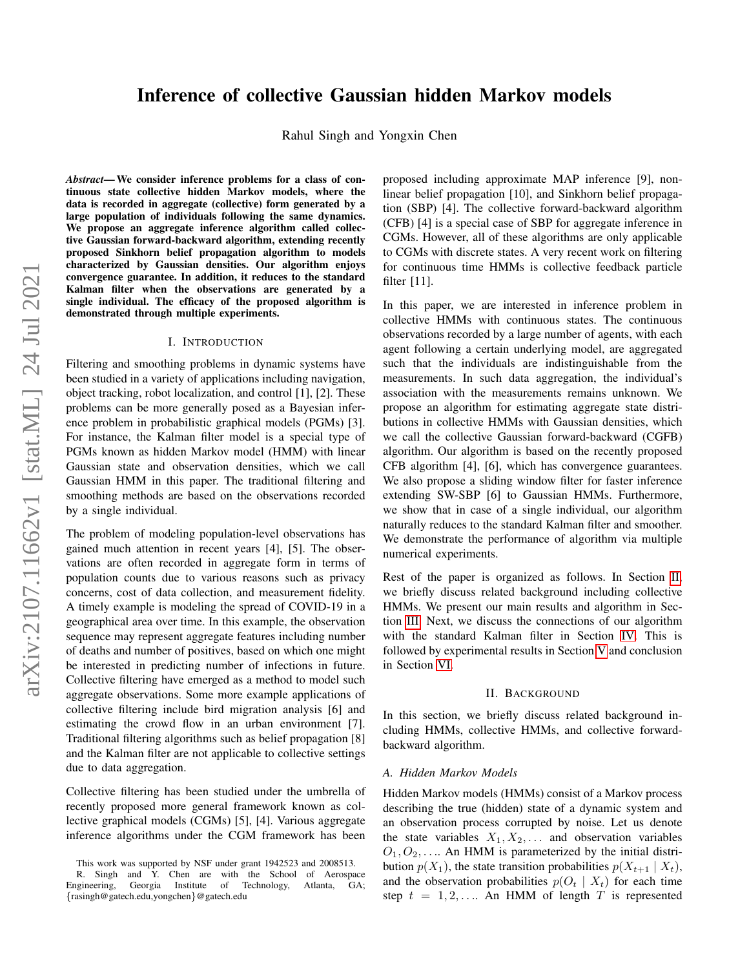# Inference of collective Gaussian hidden Markov models

Rahul Singh and Yongxin Chen

*Abstract*— We consider inference problems for a class of continuous state collective hidden Markov models, where the data is recorded in aggregate (collective) form generated by a large population of individuals following the same dynamics. We propose an aggregate inference algorithm called collective Gaussian forward-backward algorithm, extending recently proposed Sinkhorn belief propagation algorithm to models characterized by Gaussian densities. Our algorithm enjoys convergence guarantee. In addition, it reduces to the standard Kalman filter when the observations are generated by a single individual. The efficacy of the proposed algorithm is demonstrated through multiple experiments.

#### I. INTRODUCTION

Filtering and smoothing problems in dynamic systems have been studied in a variety of applications including navigation, object tracking, robot localization, and control [1], [2]. These problems can be more generally posed as a Bayesian inference problem in probabilistic graphical models (PGMs) [3]. For instance, the Kalman filter model is a special type of PGMs known as hidden Markov model (HMM) with linear Gaussian state and observation densities, which we call Gaussian HMM in this paper. The traditional filtering and smoothing methods are based on the observations recorded by a single individual.

The problem of modeling population-level observations has gained much attention in recent years [4], [5]. The observations are often recorded in aggregate form in terms of population counts due to various reasons such as privacy concerns, cost of data collection, and measurement fidelity. A timely example is modeling the spread of COVID-19 in a geographical area over time. In this example, the observation sequence may represent aggregate features including number of deaths and number of positives, based on which one might be interested in predicting number of infections in future. Collective filtering have emerged as a method to model such aggregate observations. Some more example applications of collective filtering include bird migration analysis [6] and estimating the crowd flow in an urban environment [7]. Traditional filtering algorithms such as belief propagation [8] and the Kalman filter are not applicable to collective settings due to data aggregation.

Collective filtering has been studied under the umbrella of recently proposed more general framework known as collective graphical models (CGMs) [5], [4]. Various aggregate inference algorithms under the CGM framework has been proposed including approximate MAP inference [9], nonlinear belief propagation [10], and Sinkhorn belief propagation (SBP) [4]. The collective forward-backward algorithm (CFB) [4] is a special case of SBP for aggregate inference in CGMs. However, all of these algorithms are only applicable to CGMs with discrete states. A very recent work on filtering for continuous time HMMs is collective feedback particle filter [11].

In this paper, we are interested in inference problem in collective HMMs with continuous states. The continuous observations recorded by a large number of agents, with each agent following a certain underlying model, are aggregated such that the individuals are indistinguishable from the measurements. In such data aggregation, the individual's association with the measurements remains unknown. We propose an algorithm for estimating aggregate state distributions in collective HMMs with Gaussian densities, which we call the collective Gaussian forward-backward (CGFB) algorithm. Our algorithm is based on the recently proposed CFB algorithm [4], [6], which has convergence guarantees. We also propose a sliding window filter for faster inference extending SW-SBP [6] to Gaussian HMMs. Furthermore, we show that in case of a single individual, our algorithm naturally reduces to the standard Kalman filter and smoother. We demonstrate the performance of algorithm via multiple numerical experiments.

Rest of the paper is organized as follows. In Section [II,](#page-0-0) we briefly discuss related background including collective HMMs. We present our main results and algorithm in Section [III.](#page-1-0) Next, we discuss the connections of our algorithm with the standard Kalman filter in Section [IV.](#page-3-0) This is followed by experimental results in Section [V](#page-4-0) and conclusion in Section [VI.](#page-5-0)

## II. BACKGROUND

<span id="page-0-0"></span>In this section, we briefly discuss related background including HMMs, collective HMMs, and collective forwardbackward algorithm.

#### *A. Hidden Markov Models*

Hidden Markov models (HMMs) consist of a Markov process describing the true (hidden) state of a dynamic system and an observation process corrupted by noise. Let us denote the state variables  $X_1, X_2, \ldots$  and observation variables  $O_1, O_2, \ldots$  An HMM is parameterized by the initial distribution  $p(X_1)$ , the state transition probabilities  $p(X_{t+1} | X_t)$ , and the observation probabilities  $p(O_t | X_t)$  for each time step  $t = 1, 2, \ldots$  An HMM of length T is represented

This work was supported by NSF under grant 1942523 and 2008513.

R. Singh and Y. Chen are with the School of Aerospace Georgia Institute of {rasingh@gatech.edu,yongchen}@gatech.edu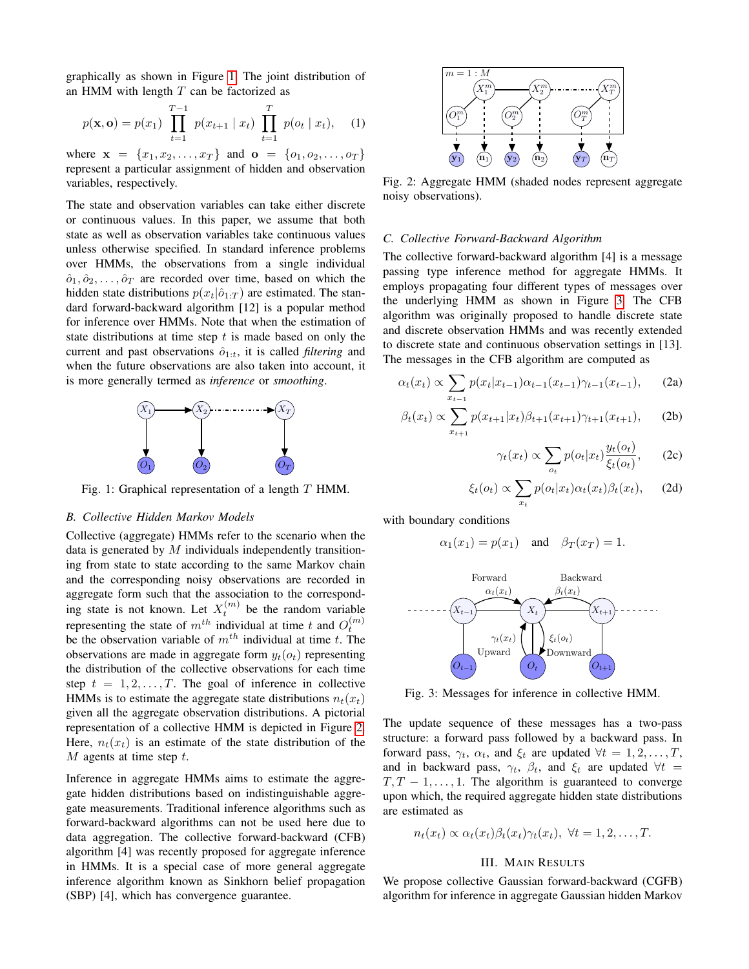graphically as shown in Figure [1.](#page-1-1) The joint distribution of an HMM with length  $T$  can be factorized as

$$
p(\mathbf{x}, \mathbf{o}) = p(x_1) \prod_{t=1}^{T-1} p(x_{t+1} | x_t) \prod_{t=1}^{T} p(o_t | x_t), \quad (1)
$$

where  $\mathbf{x} = \{x_1, x_2, \dots, x_T\}$  and  $\mathbf{o} = \{o_1, o_2, \dots, o_T\}$ represent a particular assignment of hidden and observation variables, respectively.

The state and observation variables can take either discrete or continuous values. In this paper, we assume that both state as well as observation variables take continuous values unless otherwise specified. In standard inference problems over HMMs, the observations from a single individual  $\hat{o}_1, \hat{o}_2, \dots, \hat{o}_T$  are recorded over time, based on which the hidden state distributions  $p(x_t|\hat{o}_{1:T})$  are estimated. The standard forward-backward algorithm [12] is a popular method for inference over HMMs. Note that when the estimation of state distributions at time step  $t$  is made based on only the current and past observations  $\hat{o}_{1:t}$ , it is called *filtering* and when the future observations are also taken into account, it is more generally termed as *inference* or *smoothing*.

<span id="page-1-1"></span>

Fig. 1: Graphical representation of a length T HMM.

# *B. Collective Hidden Markov Models*

Collective (aggregate) HMMs refer to the scenario when the data is generated by  $M$  individuals independently transitioning from state to state according to the same Markov chain and the corresponding noisy observations are recorded in aggregate form such that the association to the corresponding state is not known. Let  $X_t^{(m)}$  be the random variable representing the state of  $m^{th}$  individual at time t and  $O_t^{(m)}$ be the observation variable of  $m^{th}$  individual at time t. The observations are made in aggregate form  $y_t(o_t)$  representing the distribution of the collective observations for each time step  $t = 1, 2, \ldots, T$ . The goal of inference in collective HMMs is to estimate the aggregate state distributions  $n_t(x_t)$ given all the aggregate observation distributions. A pictorial representation of a collective HMM is depicted in Figure [2.](#page-1-2) Here,  $n_t(x_t)$  is an estimate of the state distribution of the  $M$  agents at time step  $t$ .

Inference in aggregate HMMs aims to estimate the aggregate hidden distributions based on indistinguishable aggregate measurements. Traditional inference algorithms such as forward-backward algorithms can not be used here due to data aggregation. The collective forward-backward (CFB) algorithm [4] was recently proposed for aggregate inference in HMMs. It is a special case of more general aggregate inference algorithm known as Sinkhorn belief propagation (SBP) [4], which has convergence guarantee.

<span id="page-1-2"></span>

Fig. 2: Aggregate HMM (shaded nodes represent aggregate noisy observations).

#### *C. Collective Forward-Backward Algorithm*

The collective forward-backward algorithm [4] is a message passing type inference method for aggregate HMMs. It employs propagating four different types of messages over the underlying HMM as shown in Figure [3.](#page-1-3) The CFB algorithm was originally proposed to handle discrete state and discrete observation HMMs and was recently extended to discrete state and continuous observation settings in [13]. The messages in the CFB algorithm are computed as

$$
\alpha_t(x_t) \propto \sum_{x_{t-1}} p(x_t | x_{t-1}) \alpha_{t-1}(x_{t-1}) \gamma_{t-1}(x_{t-1}), \qquad (2a)
$$

$$
\beta_t(x_t) \propto \sum_{x_{t+1}} p(x_{t+1}|x_t) \beta_{t+1}(x_{t+1}) \gamma_{t+1}(x_{t+1}), \quad (2b)
$$

$$
\gamma_t(x_t) \propto \sum_{o_t} p(o_t | x_t) \frac{y_t(o_t)}{\xi_t(o_t)},\qquad(2c)
$$

$$
\xi_t(o_t) \propto \sum_{x_t} p(o_t | x_t) \alpha_t(x_t) \beta_t(x_t), \quad (2d)
$$

with boundary conditions

$$
\alpha_1(x_1) = p(x_1)
$$
 and  $\beta_T(x_T) = 1$ .

<span id="page-1-3"></span>

Fig. 3: Messages for inference in collective HMM.

The update sequence of these messages has a two-pass structure: a forward pass followed by a backward pass. In forward pass,  $\gamma_t$ ,  $\alpha_t$ , and  $\xi_t$  are updated  $\forall t = 1, 2, ..., T$ , and in backward pass,  $\gamma_t$ ,  $\beta_t$ , and  $\xi_t$  are updated  $\forall t =$  $T, T - 1, \ldots, 1$ . The algorithm is guaranteed to converge upon which, the required aggregate hidden state distributions are estimated as

$$
n_t(x_t) \propto \alpha_t(x_t) \beta_t(x_t) \gamma_t(x_t), \ \forall t = 1, 2, \ldots, T.
$$

# III. MAIN RESULTS

<span id="page-1-0"></span>We propose collective Gaussian forward-backward (CGFB) algorithm for inference in aggregate Gaussian hidden Markov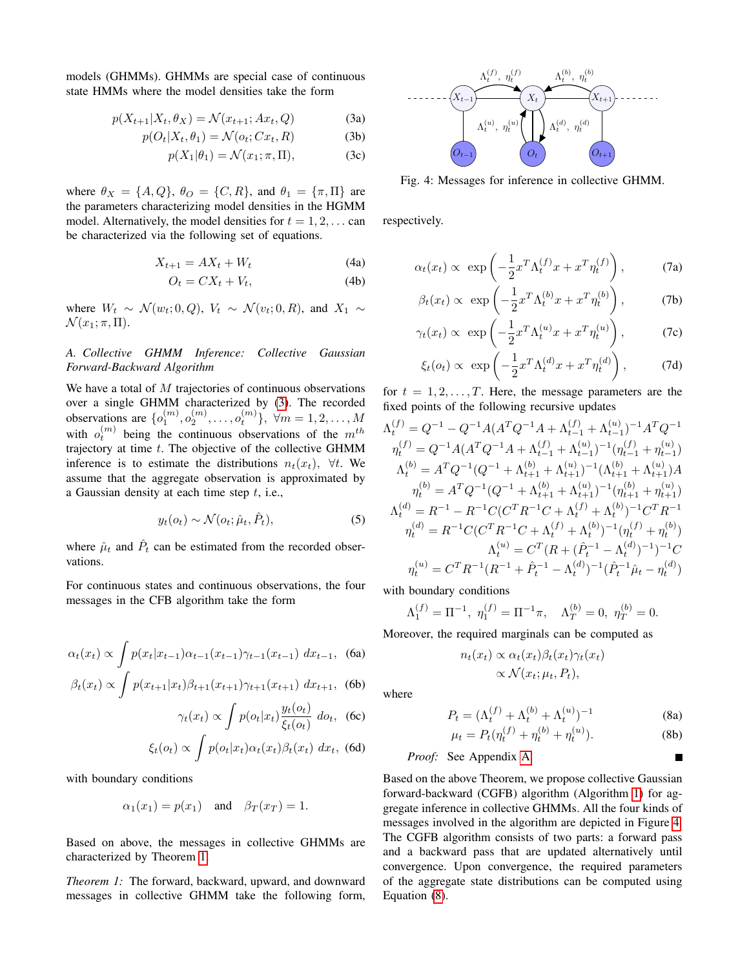models (GHMMs). GHMMs are special case of continuous state HMMs where the model densities take the form

$$
p(X_{t+1}|X_t, \theta_X) = \mathcal{N}(x_{t+1}; Ax_t, Q)
$$
 (3a)

$$
p(O_t|X_t, \theta_1) = \mathcal{N}(o_t; Cx_t, R)
$$
 (3b)

$$
p(X_1|\theta_1) = \mathcal{N}(x_1; \pi, \Pi), \tag{3c}
$$

where  $\theta_X = \{A, Q\}$ ,  $\theta_O = \{C, R\}$ , and  $\theta_1 = \{\pi, \Pi\}$  are the parameters characterizing model densities in the HGMM model. Alternatively, the model densities for  $t = 1, 2, \ldots$  can be characterized via the following set of equations.

$$
X_{t+1} = AX_t + W_t \tag{4a}
$$

$$
O_t = CX_t + V_t,\t\t(4b)
$$

where  $W_t \sim \mathcal{N}(w_t; 0, Q)$ ,  $V_t \sim \mathcal{N}(v_t; 0, R)$ , and  $X_1 \sim$  $\mathcal{N}(x_1;\pi,\Pi).$ 

# *A. Collective GHMM Inference: Collective Gaussian Forward-Backward Algorithm*

We have a total of  $M$  trajectories of continuous observations over a single GHMM characterized by [\(3\)](#page-2-0). The recorded observations are  $\{o_1^{(m)}, o_2^{(m)}, \ldots, o_t^{(m)}\}, \forall m = 1, 2, \ldots, M$ with  $o_t^{(m)}$  being the continuous observations of the  $m^{th}$ trajectory at time t. The objective of the collective GHMM inference is to estimate the distributions  $n_t(x_t)$ ,  $\forall t$ . We assume that the aggregate observation is approximated by a Gaussian density at each time step  $t$ , i.e.,

$$
y_t(o_t) \sim \mathcal{N}(o_t; \hat{\mu}_t, \hat{P}_t), \tag{5}
$$

where  $\hat{\mu}_t$  and  $\hat{P}_t$  can be estimated from the recorded observations.

For continuous states and continuous observations, the four messages in the CFB algorithm take the form

$$
\alpha_t(x_t) \propto \int p(x_t | x_{t-1}) \alpha_{t-1}(x_{t-1}) \gamma_{t-1}(x_{t-1}) dx_{t-1}, \quad \text{(6a)}
$$

$$
\beta_t(x_t) \propto \int p(x_{t+1}|x_t) \beta_{t+1}(x_{t+1}) \gamma_{t+1}(x_{t+1}) dx_{t+1}
$$
, (6b)

$$
\gamma_t(x_t) \propto \int p(o_t|x_t) \frac{y_t(o_t)}{\xi_t(o_t)} \, do_t, \tag{6c}
$$

$$
\xi_t(o_t) \propto \int p(o_t|x_t) \alpha_t(x_t) \beta_t(x_t) \, dx_t, \tag{6d}
$$

with boundary conditions

$$
\alpha_1(x_1) = p(x_1)
$$
 and  $\beta_T(x_T) = 1$ .

Based on above, the messages in collective GHMMs are characterized by Theorem [1.](#page-2-1)

<span id="page-2-1"></span>*Theorem 1:* The forward, backward, upward, and downward messages in collective GHMM take the following form,

<span id="page-2-2"></span><span id="page-2-0"></span>

Fig. 4: Messages for inference in collective GHMM.

respectively.

$$
\alpha_t(x_t) \propto \exp\left(-\frac{1}{2}x^T \Lambda_t^{(f)} x + x^T \eta_t^{(f)}\right), \tag{7a}
$$

$$
\beta_t(x_t) \propto \exp\left(-\frac{1}{2}x^T \Lambda_t^{(b)} x + x^T \eta_t^{(b)}\right), \tag{7b}
$$

$$
\gamma_t(x_t) \propto \exp\left(-\frac{1}{2}x^T \Lambda_t^{(u)} x + x^T \eta_t^{(u)}\right),
$$
 (7c)

$$
\xi_t(o_t) \propto \exp\left(-\frac{1}{2}x^T \Lambda_t^{(d)} x + x^T \eta_t^{(d)}\right),
$$
 (7d)

for  $t = 1, 2, \ldots, T$ . Here, the message parameters are the fixed points of the following recursive updates

$$
\begin{split} \Lambda_t^{(f)} &= Q^{-1} - Q^{-1} A (A^T Q^{-1} A + \Lambda_{t-1}^{(f)} + \Lambda_{t-1}^{(u)})^{-1} A^T Q^{-1} \\ \eta_t^{(f)} &= Q^{-1} A (A^T Q^{-1} A + \Lambda_{t-1}^{(f)} + \Lambda_{t-1}^{(u)})^{-1} (\eta_{t-1}^{(f)} + \eta_{t-1}^{(u)}) \\ \Lambda_t^{(b)} &= A^T Q^{-1} (Q^{-1} + \Lambda_{t+1}^{(b)} + \Lambda_{t+1}^{(u)})^{-1} (\Lambda_{t+1}^{(b)} + \Lambda_{t+1}^{(u)}) A \\ \eta_t^{(b)} &= A^T Q^{-1} (Q^{-1} + \Lambda_{t+1}^{(b)} + \Lambda_{t+1}^{(u)})^{-1} (\eta_{t+1}^{(b)} + \eta_{t+1}^{(u)}) \\ \Lambda_t^{(d)} &= R^{-1} - R^{-1} C (C^T R^{-1} C + \Lambda_t^{(f)} + \Lambda_t^{(b)})^{-1} C^T R^{-1} \\ \eta_t^{(d)} &= R^{-1} C (C^T R^{-1} C + \Lambda_t^{(f)} + \Lambda_t^{(b)})^{-1} (\eta_t^{(f)} + \eta_t^{(b)}) \\ \Lambda_t^{(u)} &= C^T (R + (\hat{P}_t^{-1} - \Lambda_t^{(d)})^{-1})^{-1} C \\ \eta_t^{(u)} &= C^T R^{-1} (R^{-1} + \hat{P}_t^{-1} - \Lambda_t^{(d)})^{-1} (\hat{P}_t^{-1} \hat{\mu}_t - \eta_t^{(d)}) \end{split}
$$

with boundary conditions

$$
\Lambda_1^{(f)} = \Pi^{-1}, \ \eta_1^{(f)} = \Pi^{-1}\pi, \quad \Lambda_T^{(b)} = 0, \ \eta_T^{(b)} = 0.
$$

Moreover, the required marginals can be computed as

$$
n_t(x_t) \propto \alpha_t(x_t) \beta_t(x_t) \gamma_t(x_t)
$$
  
 
$$
\propto \mathcal{N}(x_t; \mu_t, P_t),
$$

<span id="page-2-3"></span>where

$$
P_t = (\Lambda_t^{(f)} + \Lambda_t^{(b)} + \Lambda_t^{(u)})^{-1}
$$
(8a)  

$$
P(t) = P(t^{(f)} + \Sigma_t^{(b)} + \Sigma_t^{(u)})
$$
(8b)

$$
\mu_t = P_t(\eta_t^{(J)} + \eta_t^{(0)} + \eta_t^{(u)}).
$$
 (8b)

# *Proof:* See Appendix [A](#page-6-0)

Based on the above Theorem, we propose collective Gaussian forward-backward (CGFB) algorithm (Algorithm [1\)](#page-3-1) for aggregate inference in collective GHMMs. All the four kinds of messages involved in the algorithm are depicted in Figure [4.](#page-2-2) The CGFB algorithm consists of two parts: a forward pass and a backward pass that are updated alternatively until convergence. Upon convergence, the required parameters of the aggregate state distributions can be computed using Equation [\(8\)](#page-2-3).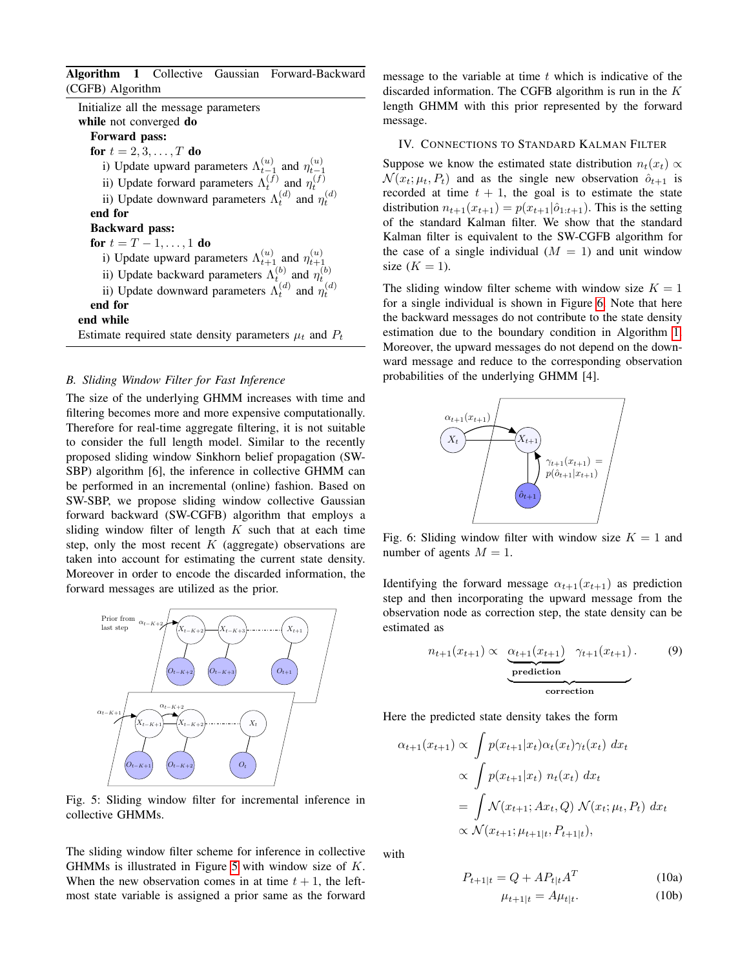<span id="page-3-1"></span>Algorithm 1 Collective Gaussian Forward-Backward (CGFB) Algorithm

| Initialize all the message parameters                                                                                                                                                                                  |
|------------------------------------------------------------------------------------------------------------------------------------------------------------------------------------------------------------------------|
| while not converged do                                                                                                                                                                                                 |
| Forward pass:                                                                                                                                                                                                          |
| for $t = 2, 3, , T$ do                                                                                                                                                                                                 |
| i) Update upward parameters $\Lambda_{t-1}^{(u)}$ and $\eta_{t-1}^{(u)}$                                                                                                                                               |
| ii) Update forward parameters $\Lambda_t^{(\vec{f})}$ and $\eta_t^{(\vec{f})}$                                                                                                                                         |
| ii) Update downward parameters $\Lambda_t^{(d)}$ and $\eta_t^{(d)}$                                                                                                                                                    |
| end for                                                                                                                                                                                                                |
| <b>Backward</b> pass:                                                                                                                                                                                                  |
| for $t = T - 1, , 1$ do                                                                                                                                                                                                |
|                                                                                                                                                                                                                        |
| i) Update upward parameters $\Lambda_{t+1}^{(u)}$ and $\eta_{t+1}^{(u)}$<br>ii) Update backward parameters $\Lambda_t^{(b)}$ and $\eta_t^{(b)}$<br>ii) Update downward parameters $\Lambda_t^{(d)}$ and $\eta_t^{(d)}$ |
|                                                                                                                                                                                                                        |
| end for                                                                                                                                                                                                                |
| end while                                                                                                                                                                                                              |
| Estimate required state density parameters $\mu_t$ and $P_t$                                                                                                                                                           |

## *B. Sliding Window Filter for Fast Inference*

The size of the underlying GHMM increases with time and filtering becomes more and more expensive computationally. Therefore for real-time aggregate filtering, it is not suitable to consider the full length model. Similar to the recently proposed sliding window Sinkhorn belief propagation (SW-SBP) algorithm [6], the inference in collective GHMM can be performed in an incremental (online) fashion. Based on SW-SBP, we propose sliding window collective Gaussian forward backward (SW-CGFB) algorithm that employs a sliding window filter of length  $K$  such that at each time step, only the most recent  $K$  (aggregate) observations are taken into account for estimating the current state density. Moreover in order to encode the discarded information, the forward messages are utilized as the prior.

<span id="page-3-2"></span>

Fig. 5: Sliding window filter for incremental inference in collective GHMMs.

The sliding window filter scheme for inference in collective GHMMs is illustrated in Figure [5](#page-3-2) with window size of K. When the new observation comes in at time  $t + 1$ , the leftmost state variable is assigned a prior same as the forward

message to the variable at time  $t$  which is indicative of the discarded information. The CGFB algorithm is run in the  $K$ length GHMM with this prior represented by the forward message.

## <span id="page-3-0"></span>IV. CONNECTIONS TO STANDARD KALMAN FILTER

Suppose we know the estimated state distribution  $n_t(x_t) \propto$  $\mathcal{N}(x_t; \mu_t, P_t)$  and as the single new observation  $\hat{o}_{t+1}$  is recorded at time  $t + 1$ , the goal is to estimate the state distribution  $n_{t+1}(x_{t+1}) = p(x_{t+1}|\hat{o}_{1:t+1})$ . This is the setting of the standard Kalman filter. We show that the standard Kalman filter is equivalent to the SW-CGFB algorithm for the case of a single individual  $(M = 1)$  and unit window size  $(K = 1)$ .

The sliding window filter scheme with window size  $K = 1$ for a single individual is shown in Figure [6.](#page-3-3) Note that here the backward messages do not contribute to the state density estimation due to the boundary condition in Algorithm [1.](#page-3-1) Moreover, the upward messages do not depend on the downward message and reduce to the corresponding observation probabilities of the underlying GHMM [4].

<span id="page-3-3"></span>

Fig. 6: Sliding window filter with window size  $K = 1$  and number of agents  $M = 1$ .

Identifying the forward message  $\alpha_{t+1}(x_{t+1})$  as prediction step and then incorporating the upward message from the observation node as correction step, the state density can be estimated as

$$
n_{t+1}(x_{t+1}) \propto \underbrace{\underbrace{\alpha_{t+1}(x_{t+1})}_{\text{prediction}} \gamma_{t+1}(x_{t+1})}_{\text{correction}}.
$$
 (9)

Here the predicted state density takes the form

$$
\alpha_{t+1}(x_{t+1}) \propto \int p(x_{t+1}|x_t) \alpha_t(x_t) \gamma_t(x_t) dx_t
$$
  
 
$$
\propto \int p(x_{t+1}|x_t) n_t(x_t) dx_t
$$
  
\n
$$
= \int \mathcal{N}(x_{t+1}; Ax_t, Q) \mathcal{N}(x_t; \mu_t, P_t) dx_t
$$
  
\n
$$
\propto \mathcal{N}(x_{t+1}; \mu_{t+1|t}, P_{t+1|t}),
$$

<span id="page-3-4"></span>with

$$
P_{t+1|t} = Q + AP_{t|t}A^{T}
$$
 (10a)  

$$
\mu_{t+1|t} = A\mu_{t|t}.
$$
 (10b)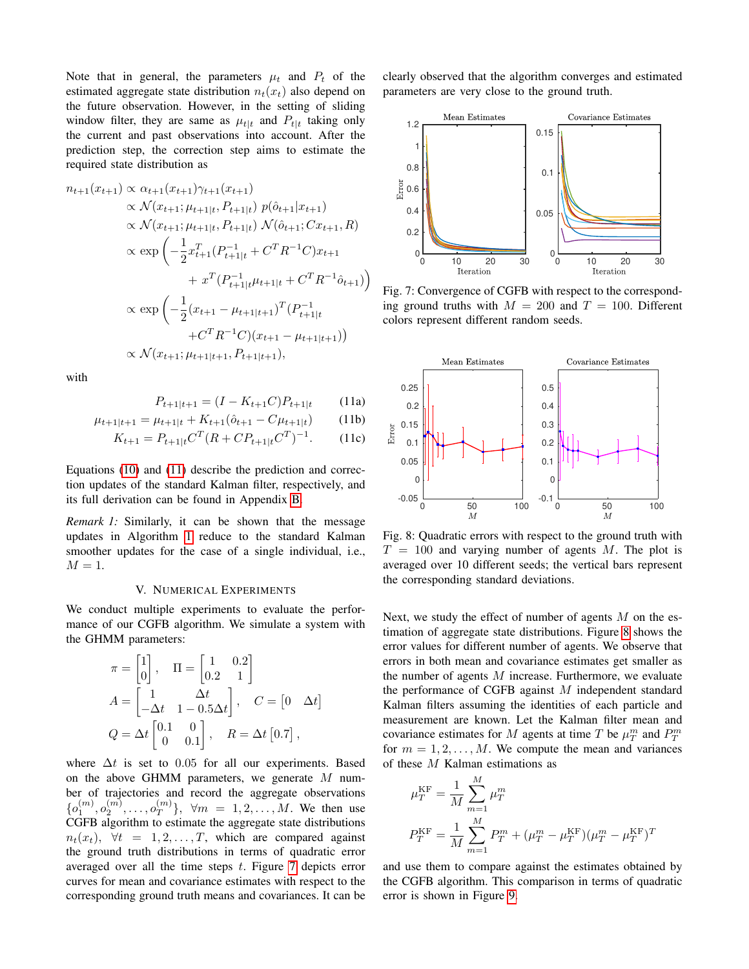Note that in general, the parameters  $\mu_t$  and  $P_t$  of the estimated aggregate state distribution  $n_t(x_t)$  also depend on the future observation. However, in the setting of sliding window filter, they are same as  $\mu_{t|t}$  and  $P_{t|t}$  taking only the current and past observations into account. After the prediction step, the correction step aims to estimate the required state distribution as

$$
n_{t+1}(x_{t+1}) \propto \alpha_{t+1}(x_{t+1})\gamma_{t+1}(x_{t+1})
$$
  
\n
$$
\propto \mathcal{N}(x_{t+1}; \mu_{t+1|t}, P_{t+1|t}) p(\hat{o}_{t+1}|x_{t+1})
$$
  
\n
$$
\propto \mathcal{N}(x_{t+1}; \mu_{t+1|t}, P_{t+1|t}) \mathcal{N}(\hat{o}_{t+1}; Cx_{t+1}, R)
$$
  
\n
$$
\propto \exp\left(-\frac{1}{2}x_{t+1}^T(P_{t+1|t}^{-1} + C^T R^{-1} C)x_{t+1} + x^T (P_{t+1|t}^{-1} \mu_{t+1|t} + C^T R^{-1} \hat{o}_{t+1})\right)
$$
  
\n
$$
\propto \exp\left(-\frac{1}{2}(x_{t+1} - \mu_{t+1|t+1})^T (P_{t+1|t}^{-1} + C^T R^{-1} C)(x_{t+1} - \mu_{t+1|t+1}))\right)
$$
  
\n
$$
\propto \mathcal{N}(x_{t+1}; \mu_{t+1|t+1}, P_{t+1|t+1}),
$$

<span id="page-4-1"></span>with

$$
P_{t+1|t+1} = (I - K_{t+1}C)P_{t+1|t} \tag{11a}
$$

$$
\mu_{t+1|t+1} = \mu_{t+1|t} + K_{t+1}(\hat{o}_{t+1} - C\mu_{t+1|t}) \tag{11b}
$$

$$
K_{t+1} = P_{t+1|t} C^{T} (R + C P_{t+1|t} C^{T})^{-1}.
$$
 (11c)

Equations [\(10\)](#page-3-4) and [\(11\)](#page-4-1) describe the prediction and correction updates of the standard Kalman filter, respectively, and its full derivation can be found in Appendix [B.](#page-7-0)

*Remark 1:* Similarly, it can be shown that the message updates in Algorithm [1](#page-3-1) reduce to the standard Kalman smoother updates for the case of a single individual, i.e.,  $M = 1$ .

#### V. NUMERICAL EXPERIMENTS

<span id="page-4-0"></span>We conduct multiple experiments to evaluate the performance of our CGFB algorithm. We simulate a system with the GHMM parameters:

$$
\pi = \begin{bmatrix} 1 \\ 0 \end{bmatrix}, \quad \Pi = \begin{bmatrix} 1 & 0.2 \\ 0.2 & 1 \end{bmatrix}
$$

$$
A = \begin{bmatrix} 1 & \Delta t \\ -\Delta t & 1 - 0.5\Delta t \end{bmatrix}, \quad C = \begin{bmatrix} 0 & \Delta t \end{bmatrix}
$$

$$
Q = \Delta t \begin{bmatrix} 0.1 & 0 \\ 0 & 0.1 \end{bmatrix}, \quad R = \Delta t \begin{bmatrix} 0.7 \end{bmatrix},
$$

where  $\Delta t$  is set to 0.05 for all our experiments. Based on the above GHMM parameters, we generate  $M$  number of trajectories and record the aggregate observations  $\{o_1^{(m)}, o_2^{(m)}, \ldots, o_T^{(m)}\}$  $\{m \atop T\}$ ,  $\forall m = 1, 2, \ldots, M$ . We then use CGFB algorithm to estimate the aggregate state distributions  $n_t(x_t)$ ,  $\forall t = 1, 2, ..., T$ , which are compared against the ground truth distributions in terms of quadratic error averaged over all the time steps  $t$ . Figure [7](#page-4-2) depicts error curves for mean and covariance estimates with respect to the corresponding ground truth means and covariances. It can be clearly observed that the algorithm converges and estimated parameters are very close to the ground truth.

<span id="page-4-2"></span>

Fig. 7: Convergence of CGFB with respect to the corresponding ground truths with  $M = 200$  and  $T = 100$ . Different colors represent different random seeds.

<span id="page-4-3"></span>

Fig. 8: Quadratic errors with respect to the ground truth with  $T = 100$  and varying number of agents M. The plot is averaged over 10 different seeds; the vertical bars represent the corresponding standard deviations.

Next, we study the effect of number of agents  $M$  on the estimation of aggregate state distributions. Figure [8](#page-4-3) shows the error values for different number of agents. We observe that errors in both mean and covariance estimates get smaller as the number of agents  $M$  increase. Furthermore, we evaluate the performance of CGFB against  $M$  independent standard Kalman filters assuming the identities of each particle and measurement are known. Let the Kalman filter mean and covariance estimates for M agents at time T be  $\mu_T^m$  and  $P_T^m$ for  $m = 1, 2, \ldots, M$ . We compute the mean and variances of these M Kalman estimations as

$$
\mu_T^{\text{KF}} = \frac{1}{M} \sum_{m=1}^{M} \mu_T^m
$$
  

$$
P_T^{\text{KF}} = \frac{1}{M} \sum_{m=1}^{M} P_T^m + (\mu_T^m - \mu_T^{\text{KF}})(\mu_T^m - \mu_T^{\text{KF}})^T
$$

and use them to compare against the estimates obtained by the CGFB algorithm. This comparison in terms of quadratic error is shown in Figure [9.](#page-5-1)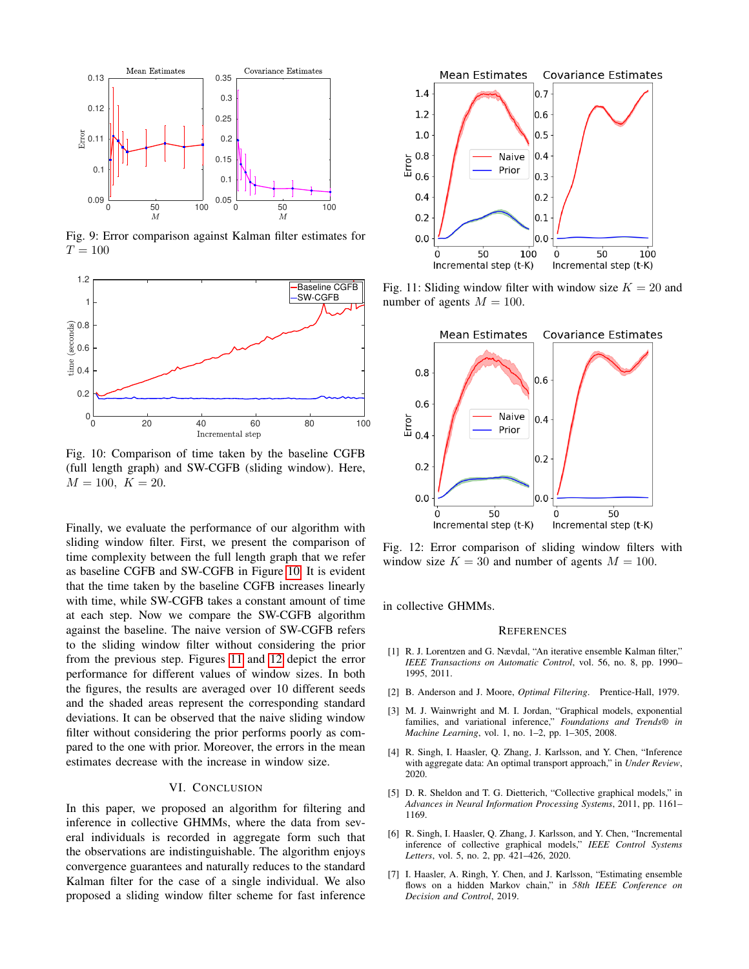<span id="page-5-1"></span>

Fig. 9: Error comparison against Kalman filter estimates for  $T = 100$ 

<span id="page-5-2"></span>

Fig. 10: Comparison of time taken by the baseline CGFB (full length graph) and SW-CGFB (sliding window). Here,  $M = 100, K = 20.$ 

Finally, we evaluate the performance of our algorithm with sliding window filter. First, we present the comparison of time complexity between the full length graph that we refer as baseline CGFB and SW-CGFB in Figure [10.](#page-5-2) It is evident that the time taken by the baseline CGFB increases linearly with time, while SW-CGFB takes a constant amount of time at each step. Now we compare the SW-CGFB algorithm against the baseline. The naive version of SW-CGFB refers to the sliding window filter without considering the prior from the previous step. Figures [11](#page-5-3) and [12](#page-5-4) depict the error performance for different values of window sizes. In both the figures, the results are averaged over 10 different seeds and the shaded areas represent the corresponding standard deviations. It can be observed that the naive sliding window filter without considering the prior performs poorly as compared to the one with prior. Moreover, the errors in the mean estimates decrease with the increase in window size.

# VI. CONCLUSION

<span id="page-5-0"></span>In this paper, we proposed an algorithm for filtering and inference in collective GHMMs, where the data from several individuals is recorded in aggregate form such that the observations are indistinguishable. The algorithm enjoys convergence guarantees and naturally reduces to the standard Kalman filter for the case of a single individual. We also proposed a sliding window filter scheme for fast inference

<span id="page-5-3"></span>

Fig. 11: Sliding window filter with window size  $K = 20$  and number of agents  $M = 100$ .

<span id="page-5-4"></span>

Fig. 12: Error comparison of sliding window filters with window size  $K = 30$  and number of agents  $M = 100$ .

in collective GHMMs.

## **REFERENCES**

- [1] R. J. Lorentzen and G. Nævdal, "An iterative ensemble Kalman filter," *IEEE Transactions on Automatic Control*, vol. 56, no. 8, pp. 1990– 1995, 2011.
- [2] B. Anderson and J. Moore, *Optimal Filtering*. Prentice-Hall, 1979.
- [3] M. J. Wainwright and M. I. Jordan, "Graphical models, exponential families, and variational inference," *Foundations and Trends® in Machine Learning*, vol. 1, no. 1–2, pp. 1–305, 2008.
- [4] R. Singh, I. Haasler, Q. Zhang, J. Karlsson, and Y. Chen, "Inference with aggregate data: An optimal transport approach," in *Under Review*, 2020.
- [5] D. R. Sheldon and T. G. Dietterich, "Collective graphical models," in *Advances in Neural Information Processing Systems*, 2011, pp. 1161– 1169.
- [6] R. Singh, I. Haasler, Q. Zhang, J. Karlsson, and Y. Chen, "Incremental inference of collective graphical models," *IEEE Control Systems Letters*, vol. 5, no. 2, pp. 421–426, 2020.
- [7] I. Haasler, A. Ringh, Y. Chen, and J. Karlsson, "Estimating ensemble flows on a hidden Markov chain," in *58th IEEE Conference on Decision and Control*, 2019.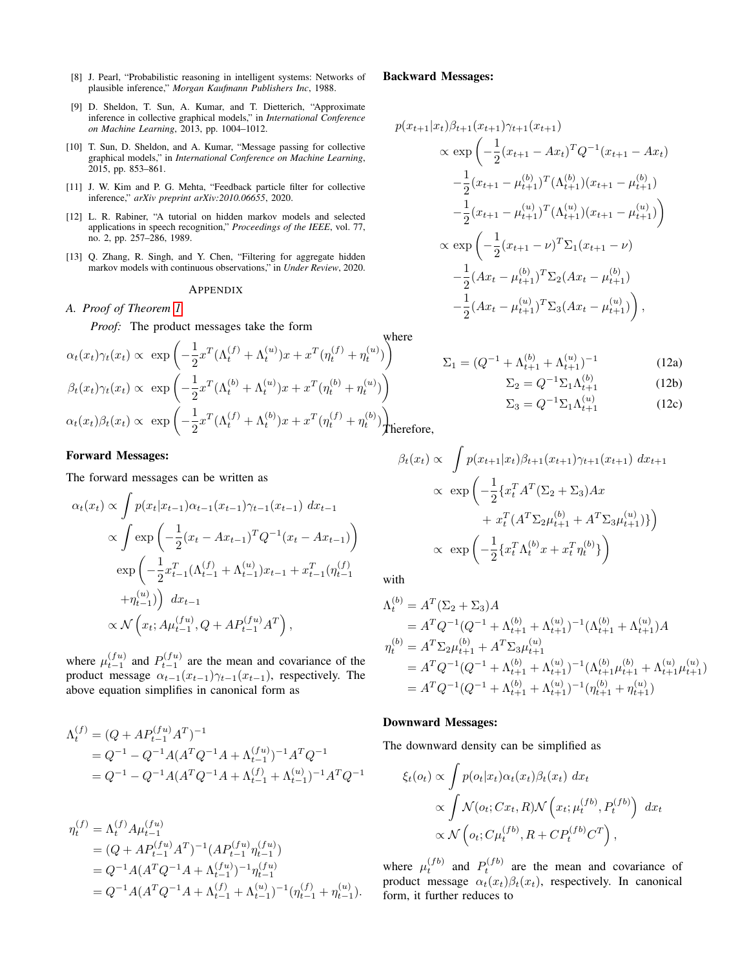- [8] J. Pearl, "Probabilistic reasoning in intelligent systems: Networks of plausible inference," *Morgan Kaufmann Publishers Inc*, 1988.
- [9] D. Sheldon, T. Sun, A. Kumar, and T. Dietterich, "Approximate inference in collective graphical models," in *International Conference on Machine Learning*, 2013, pp. 1004–1012.
- [10] T. Sun, D. Sheldon, and A. Kumar, "Message passing for collective graphical models," in *International Conference on Machine Learning*, 2015, pp. 853–861.
- [11] J. W. Kim and P. G. Mehta, "Feedback particle filter for collective inference," *arXiv preprint arXiv:2010.06655*, 2020.
- [12] L. R. Rabiner, "A tutorial on hidden markov models and selected applications in speech recognition," *Proceedings of the IEEE*, vol. 77, no. 2, pp. 257–286, 1989.
- [13] Q. Zhang, R. Singh, and Y. Chen, "Filtering for aggregate hidden markov models with continuous observations," in *Under Review*, 2020.

#### APPENDIX

<span id="page-6-0"></span>*A. Proof of Theorem [1](#page-2-1)*

*Proof:* The product messages take the form

where  
\n
$$
\alpha_t(x_t)\gamma_t(x_t) \propto \exp\left(-\frac{1}{2}x^T(\Lambda_t^{(f)} + \Lambda_t^{(u)})x + x^T(\eta_t^{(f)} + \eta_t^{(u)})\right)
$$
\n
$$
\beta_t(x_t)\gamma_t(x_t) \propto \exp\left(-\frac{1}{2}x^T(\Lambda_t^{(b)} + \Lambda_t^{(u)})x + x^T(\eta_t^{(b)} + \eta_t^{(u)})\right)
$$
\n
$$
\alpha_t(x_t)\beta_t(x_t) \propto \exp\left(-\frac{1}{2}x^T(\Lambda_t^{(f)} + \Lambda_t^{(b)})x + x^T(\eta_t^{(f)} + \eta_t^{(b)})\right)
$$
\n
$$
\text{where}
$$

## Forward Messages:

The forward messages can be written as

$$
\alpha_t(x_t) \propto \int p(x_t|x_{t-1})\alpha_{t-1}(x_{t-1})\gamma_{t-1}(x_{t-1}) dx_{t-1}
$$

$$
\propto \int \exp\left(-\frac{1}{2}(x_t - Ax_{t-1})^T Q^{-1}(x_t - Ax_{t-1})\right)
$$

$$
\exp\left(-\frac{1}{2}x_{t-1}^T (\Lambda_{t-1}^{(f)} + \Lambda_{t-1}^{(u)})x_{t-1} + x_{t-1}^T (\eta_{t-1}^{(f)}) + \eta_{t-1}^{(u)})\right) dx_{t-1}
$$

$$
\propto \mathcal{N}\left(x_t; A\mu_{t-1}^{(fu)}, Q + AP_{t-1}^{(fu)}A^T\right),
$$

where  $\mu_{t-1}^{(fu)}$  and  $P_{t-1}^{(fu)}$  are the mean and covariance of the product message  $\alpha_{t-1}(x_{t-1})\gamma_{t-1}(x_{t-1})$ , respectively. The above equation simplifies in canonical form as

$$
\Lambda_t^{(f)} = (Q + AP_{t-1}^{(fu)}A^T)^{-1}
$$
  
=  $Q^{-1} - Q^{-1}A(A^TQ^{-1}A + \Lambda_{t-1}^{(fu)})^{-1}A^TQ^{-1}$   
=  $Q^{-1} - Q^{-1}A(A^TQ^{-1}A + \Lambda_{t-1}^{(f)} + \Lambda_{t-1}^{(u)})^{-1}A^TQ^{-1}$ 

$$
\eta_t^{(f)} = \Lambda_t^{(f)} A \mu_{t-1}^{(fu)}
$$
  
=  $(Q + AP_{t-1}^{(fu)} A^T)^{-1} (AP_{t-1}^{(fu)} \eta_{t-1}^{(fu)})$   
=  $Q^{-1} A (A^T Q^{-1} A + \Lambda_{t-1}^{(fu)})^{-1} \eta_{t-1}^{(fu)}$   
=  $Q^{-1} A (A^T Q^{-1} A + \Lambda_{t-1}^{(f)} + \Lambda_{t-1}^{(u)})^{-1} (\eta_{t-1}^{(f)} + \eta_{t-1}^{(u)}).$ 

#### Backward Messages:

$$
p(x_{t+1}|x_t)\beta_{t+1}(x_{t+1})\gamma_{t+1}(x_{t+1})
$$
  
\n
$$
\propto \exp\left(-\frac{1}{2}(x_{t+1} - Ax_t)^T Q^{-1}(x_{t+1} - Ax_t)\right)
$$
  
\n
$$
-\frac{1}{2}(x_{t+1} - \mu_{t+1}^{(b)})^T (\Lambda_{t+1}^{(b)}) (x_{t+1} - \mu_{t+1}^{(b)})
$$
  
\n
$$
-\frac{1}{2}(x_{t+1} - \mu_{t+1}^{(a)})^T (\Lambda_{t+1}^{(a)}) (x_{t+1} - \mu_{t+1}^{(a)})
$$
  
\n
$$
\propto \exp\left(-\frac{1}{2}(x_{t+1} - \nu)^T \Sigma_1 (x_{t+1} - \nu)
$$
  
\n
$$
-\frac{1}{2}(Ax_t - \mu_{t+1}^{(b)})^T \Sigma_2 (Ax_t - \mu_{t+1}^{(b)})
$$
  
\n
$$
-\frac{1}{2}(Ax_t - \mu_{t+1}^{(a)})^T \Sigma_3 (Ax_t - \mu_{t+1}^{(a)})
$$

$$
\Sigma_1 = (Q^{-1} + \Lambda_{t+1}^{(b)} + \Lambda_{t+1}^{(u)})^{-1}
$$
 (12a)

$$
\Sigma_2 = Q^{-1} \Sigma_1 \Lambda_{t+1}^{(b)} \tag{12b}
$$

$$
\Sigma_3 = Q^{-1} \Sigma_1 \Lambda_{t+1}^{(u)} \tag{12c}
$$

$$
\hbox{\it Therefore,}
$$

$$
\beta_t(x_t) \propto \int p(x_{t+1}|x_t) \beta_{t+1}(x_{t+1}) \gamma_{t+1}(x_{t+1}) dx_{t+1}
$$

$$
\propto \exp\left(-\frac{1}{2} \{x_t^T A^T (\Sigma_2 + \Sigma_3) A x + x_t^T (A^T \Sigma_2 \mu_{t+1}^{(b)} + A^T \Sigma_3 \mu_{t+1}^{(u)})\}\right)
$$

$$
\propto \exp\left(-\frac{1}{2} \{x_t^T \Lambda_t^{(b)} x + x_t^T \eta_t^{(b)}\}\right)
$$

with

$$
\Lambda_t^{(b)} = A^T (\Sigma_2 + \Sigma_3) A
$$
  
=  $A^T Q^{-1} (Q^{-1} + \Lambda_{t+1}^{(b)} + \Lambda_{t+1}^{(u)})^{-1} (\Lambda_{t+1}^{(b)} + \Lambda_{t+1}^{(u)}) A$   

$$
\eta_t^{(b)} = A^T \Sigma_2 \mu_{t+1}^{(b)} + A^T \Sigma_3 \mu_{t+1}^{(u)}
$$
  
=  $A^T Q^{-1} (Q^{-1} + \Lambda_{t+1}^{(b)} + \Lambda_{t+1}^{(u)})^{-1} (\Lambda_{t+1}^{(b)} \mu_{t+1}^{(b)} + \Lambda_{t+1}^{(u)} \mu_{t+1}^{(u)})$   
=  $A^T Q^{-1} (Q^{-1} + \Lambda_{t+1}^{(b)} + \Lambda_{t+1}^{(u)})^{-1} (\eta_{t+1}^{(b)} + \eta_{t+1}^{(u)})$ 

#### Downward Messages:

The downward density can be simplified as

$$
\xi_t(o_t) \propto \int p(o_t|x_t) \alpha_t(x_t) \beta_t(x_t) dx_t
$$
  
 
$$
\propto \int \mathcal{N}(o_t; Cx_t, R) \mathcal{N}\left(x_t; \mu_t^{(fb)}, P_t^{(fb)}\right) dx_t
$$
  
 
$$
\propto \mathcal{N}\left(o_t; C\mu_t^{(fb)}, R + C P_t^{(fb)} C^T\right),
$$

where  $\mu_t^{(fb)}$  and  $P_t^{(fb)}$  are the mean and covariance of product message  $\alpha_t(x_t)\beta_t(x_t)$ , respectively. In canonical form, it further reduces to